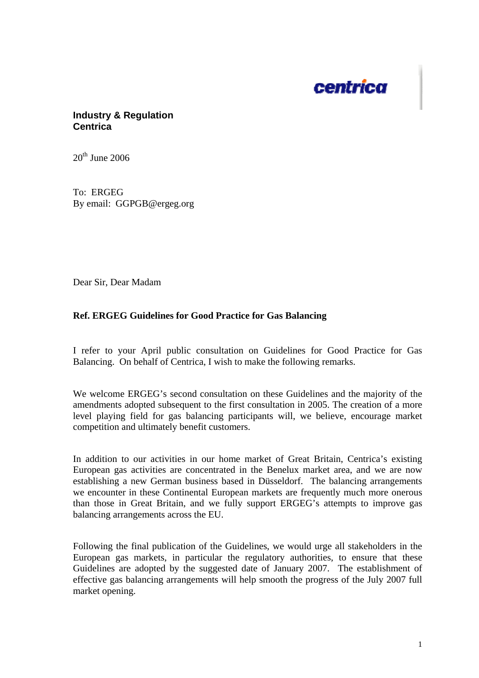

## **Industry & Regulation Centrica**

 $20^{th}$  June 2006

To: ERGEG By email: GGPGB@ergeg.org

Dear Sir, Dear Madam

## **Ref. ERGEG Guidelines for Good Practice for Gas Balancing**

I refer to your April public consultation on Guidelines for Good Practice for Gas Balancing. On behalf of Centrica, I wish to make the following remarks.

We welcome ERGEG's second consultation on these Guidelines and the majority of the amendments adopted subsequent to the first consultation in 2005. The creation of a more level playing field for gas balancing participants will, we believe, encourage market competition and ultimately benefit customers.

In addition to our activities in our home market of Great Britain, Centrica's existing European gas activities are concentrated in the Benelux market area, and we are now establishing a new German business based in Düsseldorf. The balancing arrangements we encounter in these Continental European markets are frequently much more onerous than those in Great Britain, and we fully support ERGEG's attempts to improve gas balancing arrangements across the EU.

Following the final publication of the Guidelines, we would urge all stakeholders in the European gas markets, in particular the regulatory authorities, to ensure that these Guidelines are adopted by the suggested date of January 2007. The establishment of effective gas balancing arrangements will help smooth the progress of the July 2007 full market opening.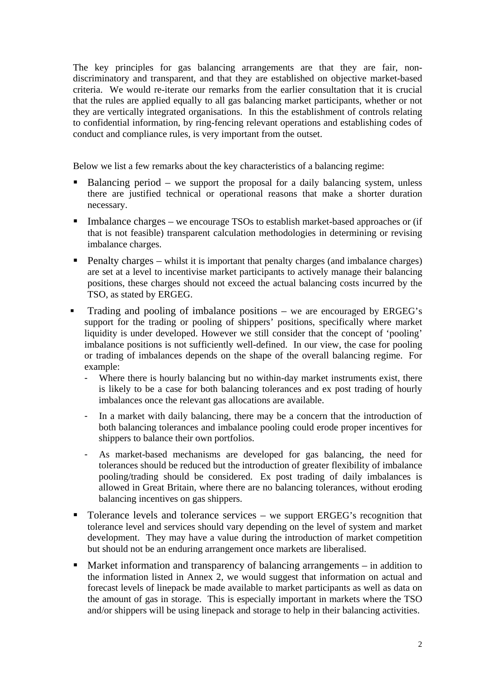The key principles for gas balancing arrangements are that they are fair, nondiscriminatory and transparent, and that they are established on objective market-based criteria. We would re-iterate our remarks from the earlier consultation that it is crucial that the rules are applied equally to all gas balancing market participants, whether or not they are vertically integrated organisations. In this the establishment of controls relating to confidential information, by ring-fencing relevant operations and establishing codes of conduct and compliance rules, is very important from the outset.

Below we list a few remarks about the key characteristics of a balancing regime:

- Balancing period we support the proposal for a daily balancing system, unless there are justified technical or operational reasons that make a shorter duration necessary.
- $\blacksquare$  Imbalance charges we encourage TSOs to establish market-based approaches or (if that is not feasible) transparent calculation methodologies in determining or revising imbalance charges.
- Penalty charges whilst it is important that penalty charges (and imbalance charges) are set at a level to incentivise market participants to actively manage their balancing positions, these charges should not exceed the actual balancing costs incurred by the TSO, as stated by ERGEG.
- Trading and pooling of imbalance positions we are encouraged by ERGEG's support for the trading or pooling of shippers' positions, specifically where market liquidity is under developed. However we still consider that the concept of 'pooling' imbalance positions is not sufficiently well-defined. In our view, the case for pooling or trading of imbalances depends on the shape of the overall balancing regime. For example:
	- Where there is hourly balancing but no within-day market instruments exist, there is likely to be a case for both balancing tolerances and ex post trading of hourly imbalances once the relevant gas allocations are available.
	- In a market with daily balancing, there may be a concern that the introduction of both balancing tolerances and imbalance pooling could erode proper incentives for shippers to balance their own portfolios.
	- As market-based mechanisms are developed for gas balancing, the need for tolerances should be reduced but the introduction of greater flexibility of imbalance pooling/trading should be considered. Ex post trading of daily imbalances is allowed in Great Britain, where there are no balancing tolerances, without eroding balancing incentives on gas shippers.
- Tolerance levels and tolerance services we support ERGEG's recognition that tolerance level and services should vary depending on the level of system and market development. They may have a value during the introduction of market competition but should not be an enduring arrangement once markets are liberalised.
- Market information and transparency of balancing arrangements in addition to the information listed in Annex 2, we would suggest that information on actual and forecast levels of linepack be made available to market participants as well as data on the amount of gas in storage. This is especially important in markets where the TSO and/or shippers will be using linepack and storage to help in their balancing activities.